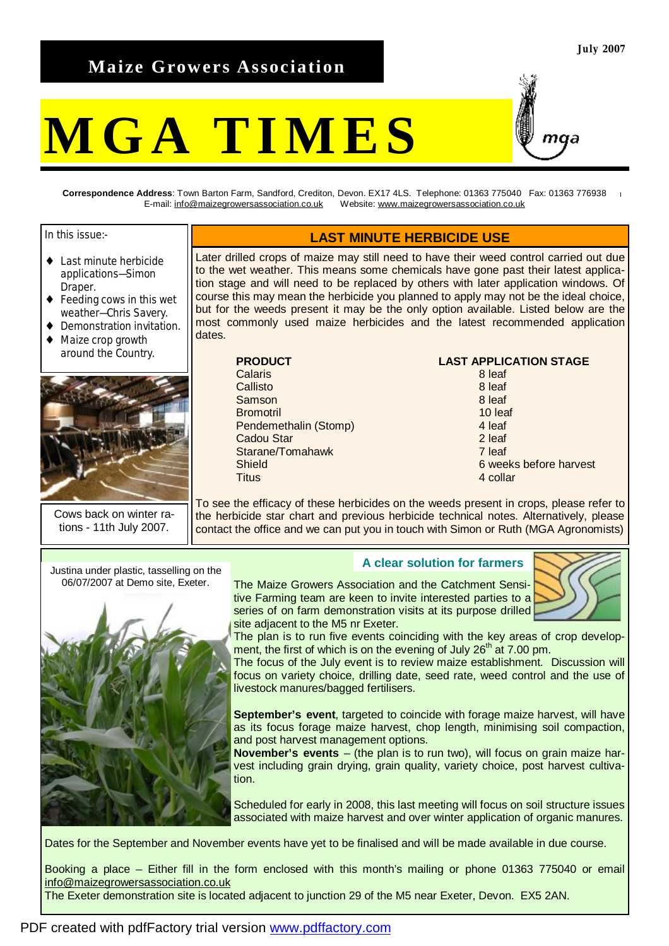## **Maize Growers Association**

# **MGA TIMES**



**Correspondence Address**: Town Barton Farm, Sandford, Crediton, Devon. EX17 4LS. Telephone: 01363 775040 Fax: 01363 776938 E-mail: [info@maizegrowersassociation.co.uk](mailto:info@maizegrowersassociation.co.uk) Website: [www.maizegrowersassociation.co.uk](http://www.maizegrowersassociation.co.uk)

In this issue:-

- ♦ Last minute herbicide applications—Simon Draper.
- ♦ Feeding cows in this wet weather—Chris Savery.
- Demonstration invitation.
- Maize crop growth around the Country.



Cows back on winter rations - 11th July 2007.

## **LAST MINUTE HERBICIDE USE**

Later drilled crops of maize may still need to have their weed control carried out due to the wet weather. This means some chemicals have gone past their latest application stage and will need to be replaced by others with later application windows. Of course this may mean the herbicide you planned to apply may not be the ideal choice, but for the weeds present it may be the only option available. Listed below are the most commonly used maize herbicides and the latest recommended application dates.

| <b>PRODUCT</b>        | <b>LAST APPLICA</b> |
|-----------------------|---------------------|
| Calaris               | 8 leaf              |
| Callisto              | 8 leaf              |
| Samson                | 8 leaf              |
| <b>Bromotril</b>      | 10 leaf             |
| Pendemethalin (Stomp) | 4 leaf              |
| <b>Cadou Star</b>     | 2 leaf              |
| Starane/Tomahawk      | 7 leaf              |
| Shield                | 6 weeks             |
| <b>Titus</b>          | 4 collar            |
|                       |                     |

### **LAST APPLICATION STAGE**

6 weeks before harvest

To see the efficacy of these herbicides on the weeds present in crops, please refer to the herbicide star chart and previous herbicide technical notes. Alternatively, please contact the office and we can put you in touch with Simon or Ruth (MGA Agronomists)

06/07/2007 at Demo site, Exeter.



## **<sup>A</sup> clear solution for farmers** Justina under plastic, tasselling on the

The Maize Growers Association and the Catchment Sensitive Farming team are keen to invite interested parties to a series of on farm demonstration visits at its purpose drilled site adjacent to the M5 nr Exeter.



The plan is to run five events coinciding with the key areas of crop development, the first of which is on the evening of July  $26<sup>th</sup>$  at 7.00 pm.

The focus of the July event is to review maize establishment. Discussion will focus on variety choice, drilling date, seed rate, weed control and the use of livestock manures/bagged fertilisers.

**September's event**, targeted to coincide with forage maize harvest, will have as its focus forage maize harvest, chop length, minimising soil compaction, and post harvest management options.

**November's events** – (the plan is to run two), will focus on grain maize harvest including grain drying, grain quality, variety choice, post harvest cultivation.

Scheduled for early in 2008, this last meeting will focus on soil structure issues associated with maize harvest and over winter application of organic manures.

Dates for the September and November events have yet to be finalised and will be made available in due course.

Booking a place – Either fill in the form enclosed with this month's mailing or phone 01363 775040 or email [info@maizegrowersassociation.co.uk](mailto:info@maizegrowersassociation.co.uk) 

The Exeter demonstration site is located adjacent to junction 29 of the M5 near Exeter, Devon. EX5 2AN.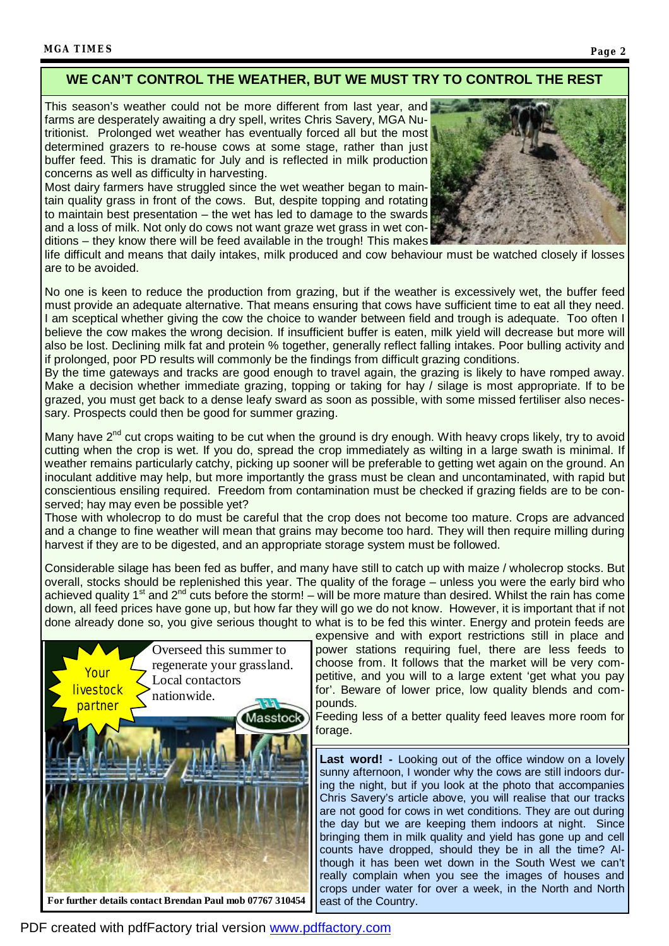## **WE CAN'T CONTROL THE WEATHER, BUT WE MUST TRY TO CONTROL THE REST**

This season's weather could not be more different from last year, and farms are desperately awaiting a dry spell, writes Chris Savery, MGA Nutritionist. Prolonged wet weather has eventually forced all but the most determined grazers to re-house cows at some stage, rather than just buffer feed. This is dramatic for July and is reflected in milk production concerns as well as difficulty in harvesting.

Most dairy farmers have struggled since the wet weather began to maintain quality grass in front of the cows. But, despite topping and rotating to maintain best presentation – the wet has led to damage to the swards and a loss of milk. Not only do cows not want graze wet grass in wet conditions – they know there will be feed available in the trough! This makes



life difficult and means that daily intakes, milk produced and cow behaviour must be watched closely if losses are to be avoided.

No one is keen to reduce the production from grazing, but if the weather is excessively wet, the buffer feed must provide an adequate alternative. That means ensuring that cows have sufficient time to eat all they need. I am sceptical whether giving the cow the choice to wander between field and trough is adequate. Too often I believe the cow makes the wrong decision. If insufficient buffer is eaten, milk yield will decrease but more will also be lost. Declining milk fat and protein % together, generally reflect falling intakes. Poor bulling activity and if prolonged, poor PD results will commonly be the findings from difficult grazing conditions.

By the time gateways and tracks are good enough to travel again, the grazing is likely to have romped away. Make a decision whether immediate grazing, topping or taking for hay / silage is most appropriate. If to be grazed, you must get back to a dense leafy sward as soon as possible, with some missed fertiliser also necessary. Prospects could then be good for summer grazing.

Many have 2<sup>nd</sup> cut crops waiting to be cut when the ground is dry enough. With heavy crops likely, try to avoid cutting when the crop is wet. If you do, spread the crop immediately as wilting in a large swath is minimal. If weather remains particularly catchy, picking up sooner will be preferable to getting wet again on the ground. An inoculant additive may help, but more importantly the grass must be clean and uncontaminated, with rapid but conscientious ensiling required. Freedom from contamination must be checked if grazing fields are to be conserved; hay may even be possible yet?

Those with wholecrop to do must be careful that the crop does not become too mature. Crops are advanced and a change to fine weather will mean that grains may become too hard. They will then require milling during harvest if they are to be digested, and an appropriate storage system must be followed.

Considerable silage has been fed as buffer, and many have still to catch up with maize / wholecrop stocks. But overall, stocks should be replenished this year. The quality of the forage – unless you were the early bird who achieved quality 1<sup>st</sup> and 2<sup>nd</sup> cuts before the storm! – will be more mature than desired. Whilst the rain has come down, all feed prices have gone up, but how far they will go we do not know. However, it is important that if not done already done so, you give serious thought to what is to be fed this winter. Energy and protein feeds are



expensive and with export restrictions still in place and power stations requiring fuel, there are less feeds to choose from. It follows that the market will be very competitive, and you will to a large extent 'get what you pay for'. Beware of lower price, low quality blends and compounds.

Feeding less of a better quality feed leaves more room for forage.

**Last word! -** Looking out of the office window on a lovely sunny afternoon, I wonder why the cows are still indoors during the night, but if you look at the photo that accompanies Chris Savery's article above, you will realise that our tracks are not good for cows in wet conditions. They are out during the day but we are keeping them indoors at night. Since bringing them in milk quality and yield has gone up and cell counts have dropped, should they be in all the time? Although it has been wet down in the South West we can't really complain when you see the images of houses and crops under water for over a week, in the North and North east of the Country.